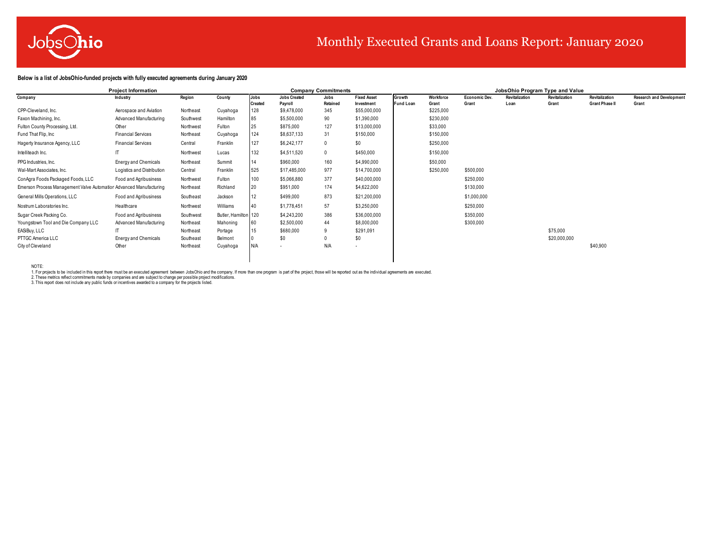

# Monthly Executed Grants and Loans Report: January 2020

### **Below is a list of JobsOhio-funded projects with fully executed agreements during January 2020**

|                                                                    | <b>Project Information</b>  |           |                      |                |                          | <b>Company Commitments</b> |                    |                  |           |                      |                | JobsOhio Program Type and Value |                       |                                 |
|--------------------------------------------------------------------|-----------------------------|-----------|----------------------|----------------|--------------------------|----------------------------|--------------------|------------------|-----------|----------------------|----------------|---------------------------------|-----------------------|---------------------------------|
| Company                                                            | Industry                    | Region    | County               | Jobs           | <b>Jobs Created</b>      | Jobs                       | <b>Fixed Asset</b> | Growth           | Workforce | <b>Economic Dev.</b> | Revitalization | Revitalization                  | Revitalization        | <b>Research and Development</b> |
|                                                                    |                             |           |                      | <b>Created</b> | Pavroll                  | Retained                   | Investment         | <b>Fund Loan</b> | Grant     | Grant                | Loan           | Grant                           | <b>Grant Phase II</b> | Grant                           |
| CPP-Cleveland, Inc.                                                | Aerospace and Aviation      | Northeast | Cuyahoga             | 128            | \$9,478,000              | 345                        | \$55,000,000       |                  | \$225,000 |                      |                |                                 |                       |                                 |
| Faxon Machining, Inc.                                              | Advanced Manufacturing      | Southwest | Hamilton             | 85             | \$5,500,000              | 90                         | \$1,390,000        |                  | \$230,000 |                      |                |                                 |                       |                                 |
| Fulton County Processing, Ltd.                                     | Other                       | Northwest | Fulton               | 25             | \$875,000                | 127                        | \$13,000,000       |                  | \$33,000  |                      |                |                                 |                       |                                 |
| Fund That Flip, Inc.                                               | <b>Financial Services</b>   | Northeast | Cuyahoga             | 124            | \$8,637,133              | 31                         | \$150,000          |                  | \$150,000 |                      |                |                                 |                       |                                 |
| Hagerty Insurance Agency, LLC                                      | <b>Financial Services</b>   | Central   | Franklin             | 127            | \$6,242,177              | 0                          | \$0                |                  | \$250,000 |                      |                |                                 |                       |                                 |
| Intelliteach Inc.                                                  |                             | Northwest | Lucas                | 132            | \$4,511,520              | 0                          | \$450,000          |                  | \$150,000 |                      |                |                                 |                       |                                 |
| PPG Industries, Inc.                                               | <b>Energy and Chemicals</b> | Northeast | Summit               | 14             | \$960,000                | 160                        | \$4,990,000        |                  | \$50,000  |                      |                |                                 |                       |                                 |
| Wal-Mart Associates, Inc.                                          | Logistics and Distribution  | Central   | Franklin             | 525            | \$17,485,000             | 977                        | \$14,700,000       |                  | \$250,000 | \$500,000            |                |                                 |                       |                                 |
| ConAgra Foods Packaged Foods, LLC                                  | Food and Agribusiness       | Northwest | Fulton               | 100            | \$5,066,880              | 377                        | \$40,000,000       |                  |           | \$250,000            |                |                                 |                       |                                 |
| Emerson Process Management Valve Automation Advanced Manufacturing |                             | Northeast | Richland             | 20             | \$951,000                | 174                        | \$4,622,000        |                  |           | \$130,000            |                |                                 |                       |                                 |
| General Mills Operations, LLC                                      | Food and Agribusiness       | Southeast | Jackson              | 12             | \$499,000                | 873                        | \$21,200,000       |                  |           | \$1,000,000          |                |                                 |                       |                                 |
| Nostrum Laboratories Inc.                                          | Healthcare                  | Northwest | Williams             | 40             | \$1,778,451              | 57                         | \$3,250,000        |                  |           | \$250,000            |                |                                 |                       |                                 |
| Sugar Creek Packing Co.                                            | Food and Agribusiness       | Southwest | Butler, Hamilton 120 |                | \$4,243,200              | 386                        | \$36,000,000       |                  |           | \$350,000            |                |                                 |                       |                                 |
| Youngstown Tool and Die Company LLC                                | Advanced Manufacturing      | Northeast | Mahoning             | 60             | \$2,500,000              | 44                         | \$8,000,000        |                  |           | \$300,000            |                |                                 |                       |                                 |
| EASiBuy, LLC                                                       |                             | Northeast | Portage              | 15             | \$680,000                |                            | \$291,091          |                  |           |                      |                | \$75,000                        |                       |                                 |
| PTTGC America LLC                                                  | <b>Energy and Chemicals</b> | Southeast | Belmont              |                | \$0                      |                            | \$0                |                  |           |                      |                | \$20,000,000                    |                       |                                 |
| City of Cleveland                                                  | Other                       | Northeast | Cuyahoga             | N/A            | $\overline{\phantom{a}}$ | N/A                        | ٠                  |                  |           |                      |                |                                 | \$40,900              |                                 |
|                                                                    |                             |           |                      |                |                          |                            |                    |                  |           |                      |                |                                 |                       |                                 |

NOTE: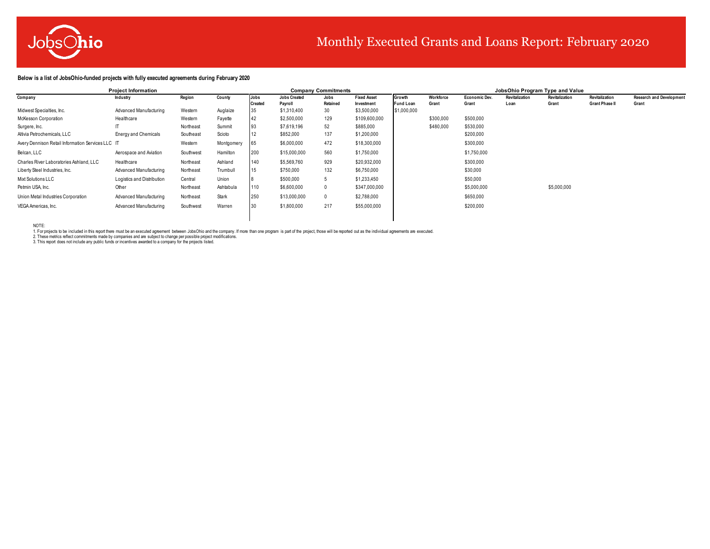

# Monthly Executed Grants and Loans Report: February 2020

### **Below is a list of JobsOhio-funded projects with fully executed agreements during February 2020**

|                                                   | <b>Project Information</b>  |           |            |         |                     | <b>Company Commitments</b> |                    |                  |           |                      |                | JobsOhio Program Type and Value |                       |                                 |
|---------------------------------------------------|-----------------------------|-----------|------------|---------|---------------------|----------------------------|--------------------|------------------|-----------|----------------------|----------------|---------------------------------|-----------------------|---------------------------------|
| Company                                           | Industry                    | Region    | County     | Jobs    | <b>Jobs Created</b> | Jobs                       | <b>Fixed Asset</b> | Growth           | Workforce | <b>Economic Dev.</b> | Revitalization | Revitalization                  | Revitalization        | <b>Research and Development</b> |
|                                                   |                             |           |            | Created | Pavroll             | Retained                   | Investment         | <b>Fund Loan</b> | Grant     | Grant                | Loan           | Grant                           | <b>Grant Phase II</b> | Grant                           |
| Midwest Specialties, Inc.                         | Advanced Manufacturing      | Western   | Auglaize   | 35      | \$1,310,400         | 30                         | \$3,500,000        | \$1,000,000      |           |                      |                |                                 |                       |                                 |
| McKesson Corporation                              | Healthcare                  | Western   | Fayette    | 42      | \$2,500,000         | 129                        | \$109,600,000      |                  | \$300,000 | \$500,000            |                |                                 |                       |                                 |
| Surgere, Inc.                                     |                             | Northeast | Summit     | 93      | \$7,619,196         | 52                         | \$885,000          |                  | \$480,000 | \$530,000            |                |                                 |                       |                                 |
| Altivia Petrochemicals, LLC                       | <b>Energy and Chemicals</b> | Southeast | Scioto     | 12      | \$852,000           | 137                        | \$1,200,000        |                  |           | \$200,000            |                |                                 |                       |                                 |
| Avery Dennison Retail Information Services LLC IT |                             | Western   | Montgomery | 65      | \$6,000,000         | 472                        | \$18,300,000       |                  |           | \$300,000            |                |                                 |                       |                                 |
| Belcan, LLC                                       | Aerospace and Aviation      | Southwest | Hamilton   | 200     | \$15,000,000        | 560                        | \$1,750,000        |                  |           | \$1,750,000          |                |                                 |                       |                                 |
| Charles River Laboratories Ashland, LLC           | Healthcare                  | Northeast | Ashland    | 140     | \$5,569,760         | 929                        | \$20,932,000       |                  |           | \$300,000            |                |                                 |                       |                                 |
| Liberty Steel Industries, Inc.                    | Advanced Manufacturing      | Northeast | Trumbull   | 15      | \$750,000           | 132                        | \$6,750,000        |                  |           | \$30,000             |                |                                 |                       |                                 |
| Mixt Solutions LLC                                | Logistics and Distribution  | Central   | Union      |         | \$500,000           |                            | \$1,233,450        |                  |           | \$50,000             |                |                                 |                       |                                 |
| Petmin USA, Inc.                                  | Other                       | Northeast | Ashtabula  | 110     | \$6,600,000         |                            | \$347,000,000      |                  |           | \$5,000,000          |                | \$5,000,000                     |                       |                                 |
| Union Metal Industries Corporation                | Advanced Manufacturing      | Northeast | Stark      | 250     | \$13,000,000        |                            | \$2,788,000        |                  |           | \$650,000            |                |                                 |                       |                                 |
| VEGA Americas, Inc.                               | Advanced Manufacturing      | Southwest | Warren     | 30      | \$1,800,000         | 217                        | \$55,000,000       |                  |           | \$200,000            |                |                                 |                       |                                 |
|                                                   |                             |           |            |         |                     |                            |                    |                  |           |                      |                |                                 |                       |                                 |

NOTE: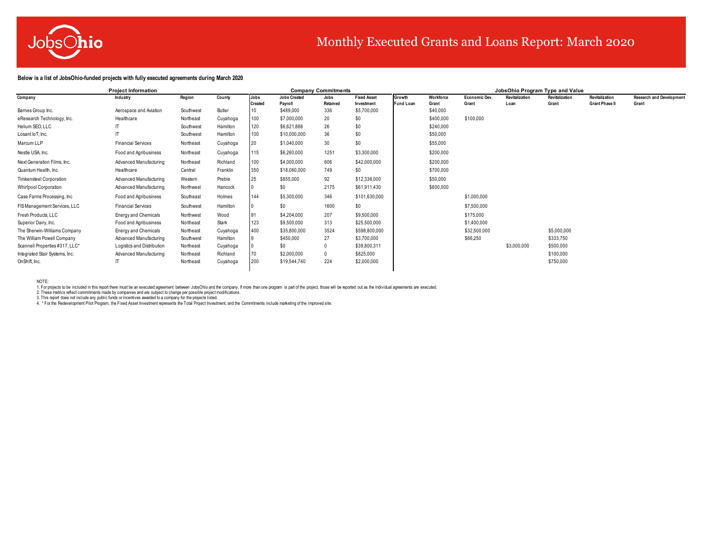

# Monthly Executed Grants and Loans Report: March 2020

### **Below is a list of JobsOhio-funded projects with fully executed agreements during March 2020**

|                                | <b>Project Information</b>  |           |          |                | <b>Company Commitments</b> |                 |                           |                  |                   | JobsOhio Program Type and Value |                |                |                       |                                 |
|--------------------------------|-----------------------------|-----------|----------|----------------|----------------------------|-----------------|---------------------------|------------------|-------------------|---------------------------------|----------------|----------------|-----------------------|---------------------------------|
| Company                        | Industry                    | Region    | County   | Jobs           | <b>Jobs Created</b>        | Jobs            | <b>Fixed Asset</b>        | Growth           | Workforce         | <b>Economic Dev.</b>            | Revitalization | Revitalization | Revitalization        | <b>Research and Development</b> |
| Barnes Group Inc.              | Aerospace and Aviation      | Southwest | Butler   | <b>Created</b> | Payroll<br>\$489,000       | Retained<br>336 | Investment<br>\$5,700,000 | <b>Fund Loan</b> | Grant<br>\$40,000 | Grant                           | Loan           | Grant          | <b>Grant Phase II</b> | Grant                           |
| eResearch Technology, Inc.     | Healthcare                  | Northeast | Cuyahoga | 100            | \$7,000,000                | 20              | \$0                       |                  | \$400,000         | \$100,000                       |                |                |                       |                                 |
| Helium SEO, LLC                |                             | Southwest | Hamilton | 120            | \$6,621,888                | 26              | \$0                       |                  | \$240,000         |                                 |                |                |                       |                                 |
| Losant loT, Inc.               |                             | Southwest | Hamilton | 100            | \$10,000,000               | 36              | \$0                       |                  | \$50,000          |                                 |                |                |                       |                                 |
| Marcum LLP                     | <b>Financial Services</b>   | Northeast | Cuyahoga | 20             | \$1,040,000                | 30              | \$0                       |                  | \$55,000          |                                 |                |                |                       |                                 |
| Nestle USA, Inc.               | Food and Agribusiness       | Northeast | Cuyahoga | 115            | \$6,260,000                | 1251            | \$3,300,000               |                  | \$200,000         |                                 |                |                |                       |                                 |
| Next Generation Films, Inc.    | Advanced Manufacturing      | Northeast | Richland | 100            | \$4,000,000                | 606             | \$42,000,000              |                  | \$200,000         |                                 |                |                |                       |                                 |
| Quantum Health, Inc.           | Healthcare                  | Central   | Franklin | 350            | \$18,060,000               | 749             | \$0                       |                  | \$700,000         |                                 |                |                |                       |                                 |
| <b>Timkensteel Corporation</b> | Advanced Manufacturing      | Western   | Preble   | 25             | \$855,000                  | 92              | \$12,338,000              |                  | \$50,000          |                                 |                |                |                       |                                 |
| <b>Whirlpool Corporation</b>   | Advanced Manufacturing      | Northwest | Hancock  |                | \$0                        | 2175            | \$61,911,430              |                  | \$600,000         |                                 |                |                |                       |                                 |
| Case Farms Processing, Inc.    | Food and Agribusiness       | Southeast | Holmes   | 144            | \$5,300,000                | 346             | \$101,630,000             |                  |                   | \$1,000,000                     |                |                |                       |                                 |
| FIS Management Services, LLC   | <b>Financial Services</b>   | Southwest | Hamilton |                | \$0                        | 1600            | \$0                       |                  |                   | \$7,500,000                     |                |                |                       |                                 |
| Fresh Products, LLC            | <b>Energy and Chemicals</b> | Northwest | Wood     | 91             | \$4,204,000                | 207             | \$9,500,000               |                  |                   | \$175,000                       |                |                |                       |                                 |
| Superior Dairy, Inc.           | Food and Agribusiness       | Northeast | Stark    | 123            | \$9,500,000                | 313             | \$25,500,000              |                  |                   | \$1,400,000                     |                |                |                       |                                 |
| The Sherwin-Williams Company   | <b>Energy and Chemicals</b> | Northeast | Cuyahoga | 400            | \$35,800,000               | 3524            | \$598,800,000             |                  |                   | \$32,500,000                    |                | \$5,000,000    |                       |                                 |
| The William Powell Company     | Advanced Manufacturing      | Southwest | Hamilton |                | \$450,000                  | 27              | \$3,700,000               |                  |                   | \$66,250                        |                | \$333,750      |                       |                                 |
| Scannell Properties #317, LLC* | Logistics and Distribution  | Northeast | Cuyahoga |                | \$0                        |                 | \$39,800,311              |                  |                   |                                 | \$3,000,000    | \$500,000      |                       |                                 |
| Integrated Stair Systems, Inc. | Advanced Manufacturing      | Northeast | Richland |                | \$2,000,000                |                 | \$825,000                 |                  |                   |                                 |                | \$100,000      |                       |                                 |
| OnShift, Inc.                  |                             | Northeast | Cuyahoga | 200            | \$19,544,740               | 224             | \$2,000,000               |                  |                   |                                 |                | \$750,000      |                       |                                 |
|                                |                             |           |          |                |                            |                 |                           |                  |                   |                                 |                |                |                       |                                 |

NOTE:

1. For projects to be included in this report there must be an executed agreement between JobsOhio and the company. If more than one program is part of the project, those will be reported out as the individual agreements a

4. \* For the Redevelopment Pilot Program, the Fixed Asset Investment represents the Total Project Investment, and the Commitments include marketing of the improved site.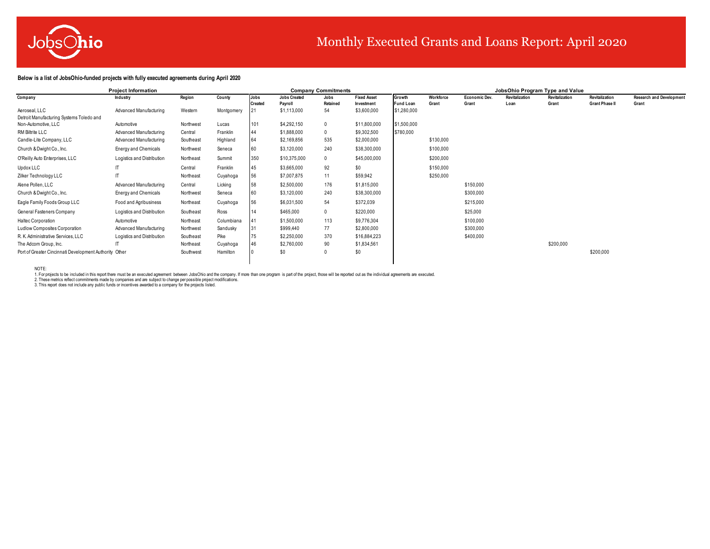

# Monthly Executed Grants and Loans Report: April 2020

### **Below is a list of JobsOhio-funded projects with fully executed agreements during April 2020**

|                                                        | <b>Project Information</b>  |           |            |                        |                                | <b>Company Commitments</b> |                                  |                            |                    |                        |                        | JobsOhio Program Type and Value |                                         |                                          |
|--------------------------------------------------------|-----------------------------|-----------|------------|------------------------|--------------------------------|----------------------------|----------------------------------|----------------------------|--------------------|------------------------|------------------------|---------------------------------|-----------------------------------------|------------------------------------------|
| Company                                                | Industry                    | Region    | County     | Jobs<br><b>Created</b> | <b>Jobs Created</b><br>Pavroll | Jobs<br>Retained           | <b>Fixed Asset</b><br>Investment | Growth<br><b>Fund Loan</b> | Workforce<br>Grant | Economic Dev.<br>Grant | Revitalization<br>Loan | Revitalization<br>Grant         | Revitalization<br><b>Grant Phase II</b> | <b>Research and Development</b><br>Grant |
| Aeroseal, LLC                                          | Advanced Manufacturing      | Western   | Montgomery |                        | \$1,113,000                    | 54                         | \$3,600,000                      | \$1,280,000                |                    |                        |                        |                                 |                                         |                                          |
| Detroit Manufacturing Systems Toledo and               |                             |           |            |                        |                                |                            |                                  |                            |                    |                        |                        |                                 |                                         |                                          |
| Non-Automotive, LLC                                    | Automotive                  | Northwest | Lucas      | 101                    | \$4,292,150                    | 0                          | \$11,800,000                     | \$1,500,000                |                    |                        |                        |                                 |                                         |                                          |
| RM Biltrite LLC                                        | Advanced Manufacturing      | Central   | Franklin   | 44                     | \$1,888,000                    | 0                          | \$9,302,500                      | \$780,000                  |                    |                        |                        |                                 |                                         |                                          |
| Candle-Lite Company, LLC                               | Advanced Manufacturing      | Southeast | Highland   | 64                     | \$2,169,856                    | 535                        | \$2,000,000                      |                            | \$130,000          |                        |                        |                                 |                                         |                                          |
| Church & Dwight Co., Inc.                              | <b>Energy and Chemicals</b> | Northwest | Seneca     | 60                     | \$3,120,000                    | 240                        | \$38,300,000                     |                            | \$100,000          |                        |                        |                                 |                                         |                                          |
| O'Reilly Auto Enterprises, LLC                         | Logistics and Distribution  | Northeast | Summit     | 350                    | \$10,375,000                   | 0                          | \$45,000,000                     |                            | \$200,000          |                        |                        |                                 |                                         |                                          |
| Updox LLC                                              |                             | Central   | Franklin   | 45                     | \$3,665,000                    | 92                         | \$0                              |                            | \$150,000          |                        |                        |                                 |                                         |                                          |
| Zilker Technology LLC                                  |                             | Northeast | Cuyahoga   | 56                     | \$7,007,875                    | 11                         | \$59,942                         |                            | \$250,000          |                        |                        |                                 |                                         |                                          |
| Alene Pollen, LLC                                      | Advanced Manufacturing      | Central   | Licking    | 58                     | \$2,500,000                    | 176                        | \$1,815,000                      |                            |                    | \$150,000              |                        |                                 |                                         |                                          |
| Church & Dwight Co., Inc.                              | <b>Energy and Chemicals</b> | Northwest | Seneca     | 60                     | \$3,120,000                    | 240                        | \$38,300,000                     |                            |                    | \$300,000              |                        |                                 |                                         |                                          |
| Eagle Family Foods Group LLC                           | Food and Agribusiness       | Northeast | Cuyahoga   | 56                     | \$6,031,500                    | 54                         | \$372,039                        |                            |                    | \$215,000              |                        |                                 |                                         |                                          |
| General Fasteners Company                              | Logistics and Distribution  | Southeast | Ross       | 14                     | \$465,000                      | 0                          | \$220,000                        |                            |                    | \$25,000               |                        |                                 |                                         |                                          |
| Haltec Corporation                                     | Automotive                  | Northeast | Columbiana | 141                    | \$1,500,000                    | 113                        | \$9,776,304                      |                            |                    | \$100,000              |                        |                                 |                                         |                                          |
| Ludlow Composites Corporation                          | Advanced Manufacturing      | Northwest | Sandusky   | 31                     | \$999,440                      | 77                         | \$2,800,000                      |                            |                    | \$300,000              |                        |                                 |                                         |                                          |
| R. K. Administrative Services, LLC                     | Logistics and Distribution  | Southeast | Pike       | 75                     | \$2,250,000                    | 370                        | \$16,884,223                     |                            |                    | \$400,000              |                        |                                 |                                         |                                          |
| The Adcom Group, Inc.                                  |                             | Northeast | Cuyahoga   | 46                     | \$2,760,000                    | 90                         | \$1,834,561                      |                            |                    |                        |                        | \$200,000                       |                                         |                                          |
| Port of Greater Cincinnati Development Authority Other |                             | Southwest | Hamilton   |                        | \$0                            | 0                          | \$0                              |                            |                    |                        |                        |                                 | \$200,000                               |                                          |

NOTE: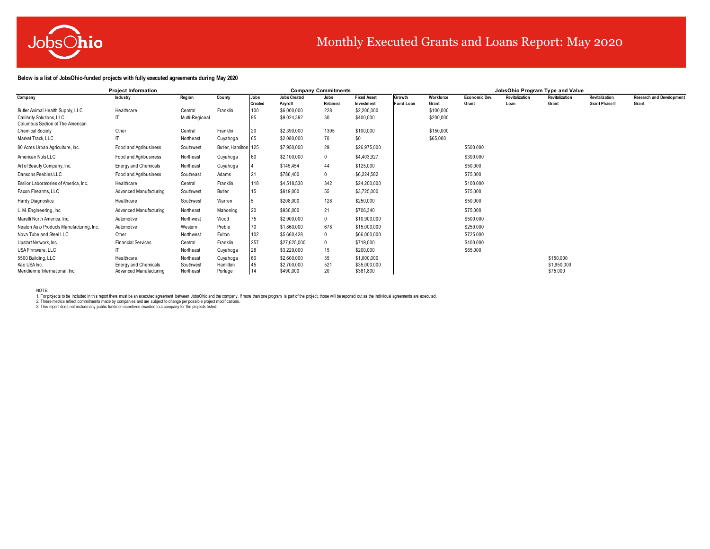

# Monthly Executed Grants and Loans Report: May 2020

### **Below is a list of JobsOhio-funded projects with fully executed agreements during May 2020**

|                                                               | <b>Project Information</b>  |                |                      |         |                     | <b>Company Commitments</b> |                    |                  |           |                      |                | JobsOhio Program Type and Value |                       |                                 |
|---------------------------------------------------------------|-----------------------------|----------------|----------------------|---------|---------------------|----------------------------|--------------------|------------------|-----------|----------------------|----------------|---------------------------------|-----------------------|---------------------------------|
| Company                                                       | Industry                    | Region         | County               | Jobs    | <b>Jobs Created</b> | Jobs                       | <b>Fixed Asset</b> | Growth           | Workforce | <b>Economic Dev.</b> | Revitalization | Revitalization                  | Revitalization        | <b>Research and Development</b> |
|                                                               |                             |                |                      | Created | Pavroll             | Retained                   | Investment         | <b>Fund Loan</b> | Grant     | Grant                | Loan           | Grant                           | <b>Grant Phase II</b> | Grant                           |
| Butler Animal Health Supply, LLC                              | Healthcare                  | Central        | Franklin             | 100     | \$6,000,000         | 228                        | \$2,200,000        |                  | \$100,000 |                      |                |                                 |                       |                                 |
| Callibrity Solutions, LLC<br>Columbus Section of The American |                             | Multi-Regional |                      | 95      | \$9,024,392         | 30                         | \$400,000          |                  | \$200,000 |                      |                |                                 |                       |                                 |
| <b>Chemical Society</b>                                       | Other                       | Central        | Franklin             | 20      | \$2,390,000         | 1305                       | \$100,000          |                  | \$150,000 |                      |                |                                 |                       |                                 |
| Market Track, LLC                                             | $\mathsf{I}$                | Northeast      | Cuyahoga             | 65      | \$2,080,000         | 70                         | \$0                |                  | \$65,000  |                      |                |                                 |                       |                                 |
| 80 Acres Urban Agriculture, Inc.                              | Food and Agribusiness       | Southwest      | Butler, Hamilton 125 |         | \$7,950,000         | 29                         | \$26,975,000       |                  |           | \$500,000            |                |                                 |                       |                                 |
| American Nuts LLC                                             | Food and Agribusiness       | Northeast      | Cuyahoga             |         | \$2,100,000         | 0                          | \$4,403,927        |                  |           | \$300,000            |                |                                 |                       |                                 |
| Art of Beauty Company, Inc.                                   | <b>Energy and Chemicals</b> | Northeast      | Cuyahoga             |         | \$145.454           | 44                         | \$125,000          |                  |           | \$50,000             |                |                                 |                       |                                 |
| Dansons Peebles LLC                                           | Food and Agribusiness       | Southeast      | Adams                | 21      | \$786,400           | 0                          | \$6,224,582        |                  |           | \$75,000             |                |                                 |                       |                                 |
| Essilor Laboratories of America, Inc.                         | Healthcare                  | Central        | Franklin             | 118     | \$4,518,530         | 342                        | \$24,200,000       |                  |           | \$100,000            |                |                                 |                       |                                 |
| Faxon Firearms, LLC                                           | Advanced Manufacturing      | Southwest      | Butler               | 15      | \$819,000           | 55                         | \$3,725,000        |                  |           | \$75,000             |                |                                 |                       |                                 |
| Hardy Diagnostics                                             | Healthcare                  | Southwest      | Warren               |         | \$208,000           | 128                        | \$250,000          |                  |           | \$50,000             |                |                                 |                       |                                 |
| L. M. Engineering, Inc.                                       | Advanced Manufacturing      | Northeast      | Mahoning             | 20      | \$930,000           | 21                         | \$706,340          |                  |           | \$75,000             |                |                                 |                       |                                 |
| Marelli North America, Inc.                                   | Automotive                  | Northwest      | Wood                 | 75      | \$2,900,000         |                            | \$10,900,000       |                  |           | \$500,000            |                |                                 |                       |                                 |
| Neaton Auto Products Manufacturing, Inc.                      | Automotive                  | Western        | Preble               | 70      | \$1,860,000         | 678                        | \$15,000,000       |                  |           | \$250,000            |                |                                 |                       |                                 |
| Nova Tube and Steel LLC                                       | Other                       | Northwest      | Fulton               | 102     | \$5,660,428         |                            | \$66,000,000       |                  |           | \$725,000            |                |                                 |                       |                                 |
| Upstart Network, Inc.                                         | <b>Financial Services</b>   | Central        | Franklin             | 257     | \$27,625,000        |                            | \$719,000          |                  |           | \$400,000            |                |                                 |                       |                                 |
| USA Firmware, LLC                                             | $\mathsf{I}$                | Northeast      | Cuyahoga             | 28      | \$3,229,000         | 15                         | \$200,000          |                  |           | \$65,000             |                |                                 |                       |                                 |
| 5500 Building, LLC                                            | Healthcare                  | Northeast      | Cuyahoga             | 60      | \$2,600,000         | 35                         | \$1,000,000        |                  |           |                      |                | \$150,000                       |                       |                                 |
| Kao USA Inc.                                                  | <b>Energy and Chemicals</b> | Southwest      | Hamilton             |         | \$2,700,000         | 521                        | \$35,000,000       |                  |           |                      |                | \$1,950,000                     |                       |                                 |
| Meridienne International, Inc.                                | Advanced Manufacturing      | Northeast      | Portage              | 14      | \$490,000           | 20                         | \$381,800          |                  |           |                      |                | \$75,000                        |                       |                                 |

NOTE: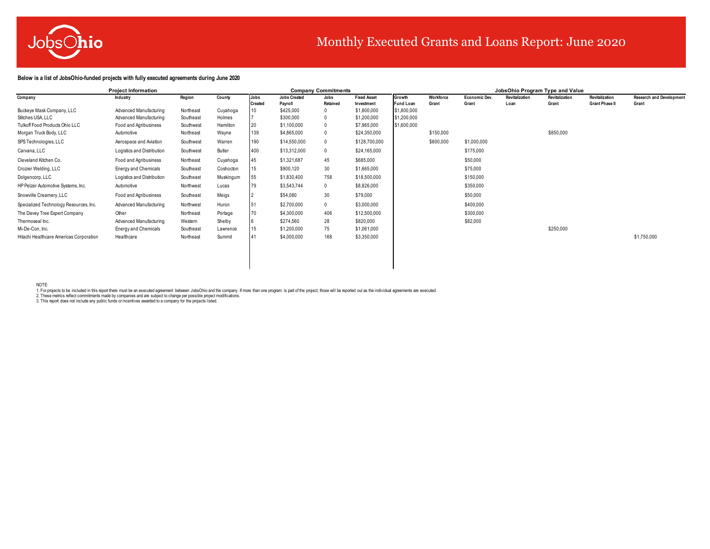

# Monthly Executed Grants and Loans Report: June 2020

### **Below is a list of JobsOhio-funded projects with fully executed agreements during June 2020**

|                                         | <b>Project Information</b>  |           |           |                |                     | <b>Company Commitments</b> |                    |                  |           |                      |                | JobsOhio Program Type and Value |                       |                                 |
|-----------------------------------------|-----------------------------|-----------|-----------|----------------|---------------------|----------------------------|--------------------|------------------|-----------|----------------------|----------------|---------------------------------|-----------------------|---------------------------------|
| Company                                 | Industry                    | Region    | County    | Jobs           | <b>Jobs Created</b> | Jobs                       | <b>Fixed Asset</b> | Growth           | Workforce | <b>Economic Dev.</b> | Revitalization | Revitalization                  | Revitalization        | <b>Research and Development</b> |
|                                         |                             |           |           | <b>Created</b> | Pavroll             | Retained                   | Investment         | <b>Fund Loan</b> | Grant     | Grant                | Loan           | Grant                           | <b>Grant Phase II</b> | Grant                           |
| Buckeye Mask Company, LLC               | Advanced Manufacturing      | Northeast | Cuyahoga  |                | \$425,000           |                            | \$1,800,000        | \$1,800,000      |           |                      |                |                                 |                       |                                 |
| Stitches USA LLC                        | Advanced Manufacturing      | Southeast | Holmes    |                | \$300,000           |                            | \$1,200,000        | \$1,200,000      |           |                      |                |                                 |                       |                                 |
| Tulkoff Food Products Ohio LLC          | Food and Agribusiness       | Southwest | Hamilton  | 20             | \$1,100,000         |                            | \$7,965,000        | \$1,600,000      |           |                      |                |                                 |                       |                                 |
| Morgan Truck Body, LLC                  | Automotive                  | Northeast | Wayne     | 139            | \$4,865,000         |                            | \$24,350,000       |                  | \$150,000 |                      |                | \$850,000                       |                       |                                 |
| SPS Technologies, LLC                   | Aerospace and Aviation      | Southwest | Warren    | 190            | \$14,550,000        |                            | \$128,700,000      |                  | \$600,000 | \$1,000,000          |                |                                 |                       |                                 |
| Carvana, LLC                            | Logistics and Distribution  | Southwest | Butler    | 400            | \$13,312,000        | $\mathbf{0}$               | \$24,165,000       |                  |           | \$175,000            |                |                                 |                       |                                 |
| Cleveland Kitchen Co.                   | Food and Agribusiness       | Northeast | Cuyahoga  | 45             | \$1,321,687         | 45                         | \$685,000          |                  |           | \$50,000             |                |                                 |                       |                                 |
| Crozier Welding, LLC                    | <b>Energy and Chemicals</b> | Southeast | Coshocton | 15             | \$900,120           | 30                         | \$1,665,000        |                  |           | \$75,000             |                |                                 |                       |                                 |
| Dolgencorp, LLC                         | Logistics and Distribution  | Southeast | Muskingum | 55             | \$1,830,400         | 758                        | \$18,500,000       |                  |           | \$150,000            |                |                                 |                       |                                 |
| HP Pelzer Automotive Systems, Inc.      | Automotive                  | Northwest | Lucas     | 79             | \$3,543,744         | 0                          | \$8,826,000        |                  |           | \$350,000            |                |                                 |                       |                                 |
| Snowville Creamery, LLC                 | Food and Agribusiness       | Southeast | Meigs     |                | \$54,080            | 30                         | \$79,000           |                  |           | \$50,000             |                |                                 |                       |                                 |
| Specialized Technology Resources, Inc.  | Advanced Manufacturing      | Northwest | Huron     | 51             | \$2,700,000         | $\mathbf{0}$               | \$3,000,000        |                  |           | \$400,000            |                |                                 |                       |                                 |
| The Davey Tree Expert Company           | Other                       | Northeast | Portage   | 70             | \$4,300,000         | 406                        | \$12,500,000       |                  |           | \$300,000            |                |                                 |                       |                                 |
| Thermoseal Inc.                         | Advanced Manufacturing      | Western   | Shelby    |                | \$274,560           | 28                         | \$820,000          |                  |           | \$82,000             |                |                                 |                       |                                 |
| Mi-De-Con, Inc.                         | <b>Energy and Chemicals</b> | Southeast | Lawrence  | 15             | \$1,200,000         | 75                         | \$1,061,000        |                  |           |                      |                | \$250,000                       |                       |                                 |
| Hitachi Healthcare Americas Corporation | Healthcare                  | Northeast | Summit    |                | \$4,000,000         | 168                        | \$3,350,000        |                  |           |                      |                |                                 |                       | \$1,750,000                     |
|                                         |                             |           |           |                |                     |                            |                    |                  |           |                      |                |                                 |                       |                                 |

NOTE: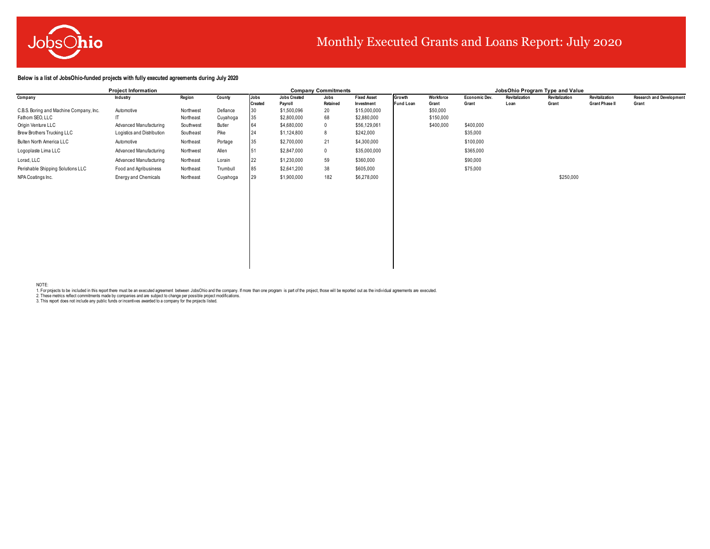

# Monthly Executed Grants and Loans Report: July 2020

**Below is a list of JobsOhio-funded projects with fully executed agreements during July 2020**

|                                         | <b>Project Information</b>  |           |          |                |                     | <b>Company Commitments</b> |                    |                  |           |                      | JobsOhio Program Type and Value |                       |                       |                                 |
|-----------------------------------------|-----------------------------|-----------|----------|----------------|---------------------|----------------------------|--------------------|------------------|-----------|----------------------|---------------------------------|-----------------------|-----------------------|---------------------------------|
| Company                                 | Industry                    | Region    | County   | Jobs           | <b>Jobs Created</b> | Jobs                       | <b>Fixed Asset</b> | Growth           | Workforce | <b>Economic Dev.</b> | <b>Revitalization</b>           | <b>Revitalization</b> | <b>Revitalization</b> | <b>Research and Development</b> |
|                                         |                             |           |          | <b>Created</b> | Pavroll             | Retained                   | Investment         | <b>Fund Loan</b> | Grant     | Grant                | Loan                            | Grant                 | <b>Grant Phase II</b> | Grant                           |
| C.B.S. Boring and Machine Company, Inc. | Automotive                  | Northwest | Defiance | 30             | \$1,500,096         | 20                         | \$15,000,000       |                  | \$50,000  |                      |                                 |                       |                       |                                 |
| Fathom SEO, LLC                         |                             | Northeast | Cuyahoga | 35             | \$2,800,000         | 68                         | \$2,880,000        |                  | \$150,000 |                      |                                 |                       |                       |                                 |
| Origin Venture LLC                      | Advanced Manufacturing      | Southwest | Butler   |                | \$4,680,000         |                            | \$56,129,061       |                  | \$400,000 | \$400,000            |                                 |                       |                       |                                 |
| Brew Brothers Trucking LLC              | Logistics and Distribution  | Southeast | Pike     | 24             | \$1,124,800         |                            | \$242,000          |                  |           | \$35,000             |                                 |                       |                       |                                 |
| Bulten North America LLC                | Automotive                  | Northeast | Portage  | 35             | \$2,700,000         | 21                         | \$4,300,000        |                  |           | \$100,000            |                                 |                       |                       |                                 |
| Logoplaste Lima LLC                     | Advanced Manufacturing      | Northwest | Allen    | 51             | \$2,847,000         |                            | \$35,000,000       |                  |           | \$365,000            |                                 |                       |                       |                                 |
| Lorad, LLC                              | Advanced Manufacturing      | Northeast | Lorain   | 22             | \$1,230,000         | 59                         | \$360,000          |                  |           | \$90,000             |                                 |                       |                       |                                 |
| Perishable Shipping Solutions LLC       | Food and Agribusiness       | Northeast | Trumbull | 85             | \$2,641,200         | 38                         | \$605,000          |                  |           | \$75,000             |                                 |                       |                       |                                 |
| NPA Coatings Inc.                       | <b>Energy and Chemicals</b> | Northeast | Cuyahoga | 29             | \$1,900,000         | 182                        | \$6,278,000        |                  |           |                      |                                 | \$250,000             |                       |                                 |
|                                         |                             |           |          |                |                     |                            |                    |                  |           |                      |                                 |                       |                       |                                 |

NOTE: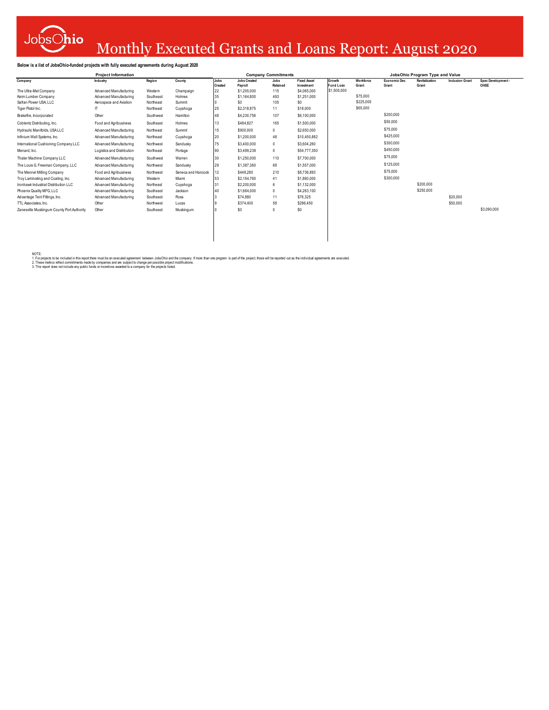

# Monthly Executed Grants and Loans Report: August 2020

### **Below is a list of JobsOhio-funded projects with fully executed agreements during August 2020**

|                                            | <b>Project Information</b>              |                    |                 |                                | <b>Company Commitments</b> |                                  |                            |                    |                        | JobsOhio Program Type and Value |                        |                           |
|--------------------------------------------|-----------------------------------------|--------------------|-----------------|--------------------------------|----------------------------|----------------------------------|----------------------------|--------------------|------------------------|---------------------------------|------------------------|---------------------------|
| Company                                    | Region<br>Industry                      | County             | Jobs<br>Created | <b>Jobs Created</b><br>Payroll | Jobs<br>Retained           | <b>Fixed Asset</b><br>Investment | Growth<br><b>Fund Loan</b> | Workforce<br>Grant | Economic Dev.<br>Grant | Revitalization<br>Grant         | <b>Inclusion Grant</b> | Spec Development-<br>OHSE |
| The Ultra-Met Company                      | Advanced Manufacturing<br>Western       | Champaign          | 22              | \$1,205,000                    | 115                        | \$4,065,000                      | \$1,500,000                |                    |                        |                                 |                        |                           |
| Keim Lumber Company                        | Advanced Manufacturing<br>Southeast     | Holmes             | 35              | \$1,164,800                    | 493                        | \$1,251,000                      |                            | \$75,000           |                        |                                 |                        |                           |
| Safran Power USA, LLC                      | Northeast<br>Aerospace and Aviation     | Summit             |                 | \$0                            | 105                        | \$0\$                            |                            | \$225,000          |                        |                                 |                        |                           |
| Tiger Pistol Inc.                          | Northeast                               | Cuyahoga           | 25              | \$2,318,875                    | 11                         | \$18,000                         |                            | \$65,000           |                        |                                 |                        |                           |
| Brakefire, Incorporated                    | Other<br>Southwest                      | Hamilton           | 48              | \$4,230,756                    | 107                        | \$6,100,000                      |                            |                    | \$200,000              |                                 |                        |                           |
| Coblentz Distributing, Inc.                | Food and Agribusiness<br>Southeast      | Holmes             | 13              | \$484.827                      | 165                        | \$1,500,000                      |                            |                    | \$50,000               |                                 |                        |                           |
| Hydraulic Manifolds, USA LLC               | Advanced Manufacturing<br>Northeast     | Summit             |                 | \$900,000                      | 0                          | \$2,650,000                      |                            |                    | \$75,000               |                                 |                        |                           |
| Infinium Wall Systems, Inc.                | Advanced Manufacturing<br>Northeast     | Cuyahoga           | 20              | \$1,200,000                    | 48                         | \$10,450,882                     |                            |                    | \$425,000              |                                 |                        |                           |
| International Cushioning Company LLC       | Advanced Manufacturing<br>Northwest     | Sandusky           | 75              | \$3,400,000                    | 0                          | \$3,604,260                      |                            |                    | \$300,000              |                                 |                        |                           |
| Menard, Inc.                               | Logistics and Distribution<br>Northeast | Portage            | 90              | \$3,499,239                    | 0                          | \$54,777,350                     |                            |                    | \$450,000              |                                 |                        |                           |
| Thaler Machine Company LLC                 | Advanced Manufacturing<br>Southwest     | Warren             | 30              | \$1,250,000                    | 110                        | \$7,700,000                      |                            |                    | \$75,000               |                                 |                        |                           |
| The Louis G. Freeman Company, LLC          | Northwest<br>Advanced Manufacturing     | Sandusky           | 29              | \$1,387,360                    | 68                         | \$1,557,000                      |                            |                    | \$125,000              |                                 |                        |                           |
| The Mennel Milling Company                 | Food and Agribusiness<br>Northwest      | Seneca and Hancock |                 | \$449,280                      | 210                        | \$8,736,893                      |                            |                    | \$75,000               |                                 |                        |                           |
| Trov Laminating and Coating, Inc.          | Western<br>Advanced Manufacturing       | Miami              |                 | \$2,154,760                    | 41                         | \$1,860,000                      |                            |                    | \$300,000              |                                 |                        |                           |
| Ironhawk Industrial Distribution LLC       | Advanced Manufacturing<br>Northeast     | Cuyahoga           |                 | \$2,200,000                    | 6                          | \$1,132,000                      |                            |                    |                        | \$200,000                       |                        |                           |
| Phoenix Quality MFG, LLC                   | Advanced Manufacturing<br>Southeast     | Jackson            |                 | \$1,664,000                    | 0                          | \$4,263,100                      |                            |                    |                        | \$250,000                       |                        |                           |
| Advantage Tent Fittings, Inc.              | Advanced Manufacturing<br>Southeast     | Ross               |                 | \$74,880                       | 11                         | \$76,325                         |                            |                    |                        |                                 | \$20,000               |                           |
| TTL Associates, Inc.                       | Other<br>Northwest                      | Lucas              |                 | \$374,400                      | 58                         | \$296,450                        |                            |                    |                        |                                 | \$50,000               |                           |
| Zanesville Muskingum County Port Authority | Other<br>Southeast                      | Muskingum          |                 | \$0                            | 0                          | $\$0$                            |                            |                    |                        |                                 |                        | \$3,090,000               |
|                                            |                                         |                    |                 |                                |                            |                                  |                            |                    |                        |                                 |                        |                           |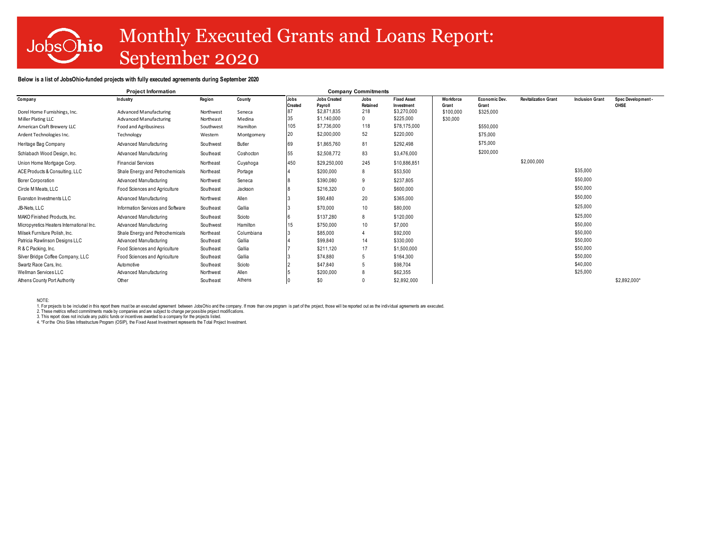# JobsOhio

# Monthly Executed Grants and Loans Report: September 2020

### **Below is a list of JobsOhio-funded projects with fully executed agreements during September 2020**

| Region<br><b>Jobs Created</b><br>Workforce<br><b>Revitalization Grant</b><br><b>Inclusion Grant</b><br>Spec Development-<br>Company<br>County<br>Jobs<br><b>Fixed Asset</b><br>Economic Dev.<br>Industry<br>Jobs<br>Retained<br>Pavroll<br><b>Created</b><br>Investment<br>Grant<br><b>OHSE</b><br>Grant<br>\$2.871.835<br>\$3,270,000<br>218<br>\$100,000<br>\$325,000<br>Advanced Manufacturing<br>Dorel Home Furnishings, Inc.<br>Northwest<br>Seneca<br>\$1,140,000<br>\$225,000<br>0<br>\$30,000<br>Miller Plating LLC<br>Advanced Manufacturing<br>Northeast<br>Medina<br>\$7,736,000<br>\$78,175,000<br>105<br>118<br>\$550,000<br>American Craft Brewery LLC<br>Food and Agribusiness<br>Southwest<br>Hamilton<br>52<br>\$2,000,000<br>\$220,000<br>20<br>\$75,000<br>Ardent Technologies Inc.<br>Technology<br>Western<br>Montgomery<br>\$75,000<br>81<br>Advanced Manufacturing<br>Butler<br>\$1,865,760<br>\$292,498<br>Heritage Bag Company<br>Southwest<br>\$200,000<br>83<br>\$2,508,772<br>\$3,476,000<br>Schlabach Wood Design, Inc.<br>Advanced Manufacturing<br>Southeast<br>Coshocton<br>\$2,000,000<br>245<br>\$10,886,851<br>Union Home Mortgage Corp.<br><b>Financial Services</b><br>Northeast<br>450<br>\$29,250,000<br>Cuyahoga<br>\$35,000<br>\$200,000<br>8<br>\$53,500<br>ACE Products & Consulting, LLC<br>Shale Energy and Petrochemicals<br>Northeast<br>Portage<br>\$50,000<br>9<br>\$237,805<br>\$390,080<br>Borer Corporation<br>Advanced Manufacturing<br>Northwest<br>Seneca<br>\$50,000<br>\$216,320<br>0<br>\$600,000<br>Circle M Meats, LLC<br>Food Sciences and Agriculture<br>Southeast<br>Jackson<br>\$50,000<br>20<br>\$365,000<br>Evanston Investments LLC<br>Allen<br>\$90,480<br>Advanced Manufacturing<br>Northwest<br>\$25,000<br>10 <sup>1</sup><br>JB-Nets, LLC<br>Gallia<br>\$70,000<br>\$80,000<br>Information Services and Software<br>Southeast<br>\$25,000<br>\$137,280<br>8<br>Scioto<br>\$120,000<br>MAKO Finished Products, Inc.<br>Advanced Manufacturing<br>Southeast<br>\$50,000<br>10<br>\$7,000<br>Advanced Manufacturing<br>Southwest<br>Hamilton<br>\$750,000<br>Micropyretics Heaters International Inc.<br>\$50,000<br>\$85,000<br>\$92,000<br>Milsek Furniture Polish, Inc.<br>Shale Energy and Petrochemicals<br>Northeast<br>Columbiana<br>$\overline{4}$<br>\$50,000<br>\$99,840<br>14<br>\$330,000<br>Gallia<br>Patricia Rawlinson Designs LLC<br>Advanced Manufacturing<br>Southeast<br>\$50,000<br>17<br>R & C Packing, Inc.<br>Food Sciences and Agriculture<br>Southeast<br>Gallia<br>\$211,120<br>\$1,500,000<br>\$50,000<br>Gallia<br>\$74,880<br>5<br>\$164,300<br>Silver Bridge Coffee Company, LLC<br>Food Sciences and Agriculture<br>Southeast<br>\$40,000<br>Scioto<br>Swartz Race Cars, Inc.<br>Automotive<br>\$47,840<br>5<br>\$98,704<br>Southeast<br>\$25,000<br>Allen<br>\$62,355<br>Wellman Services LLC<br>Advanced Manufacturing<br>Northwest<br>\$200,000<br>Athens<br>\$0<br>\$2,892,000<br>\$2,892,000*<br>Other<br>Southeast<br>Athens County Port Authority | <b>Project Information</b> |  |  | <b>Company Commitments</b> |  |  |  |
|--------------------------------------------------------------------------------------------------------------------------------------------------------------------------------------------------------------------------------------------------------------------------------------------------------------------------------------------------------------------------------------------------------------------------------------------------------------------------------------------------------------------------------------------------------------------------------------------------------------------------------------------------------------------------------------------------------------------------------------------------------------------------------------------------------------------------------------------------------------------------------------------------------------------------------------------------------------------------------------------------------------------------------------------------------------------------------------------------------------------------------------------------------------------------------------------------------------------------------------------------------------------------------------------------------------------------------------------------------------------------------------------------------------------------------------------------------------------------------------------------------------------------------------------------------------------------------------------------------------------------------------------------------------------------------------------------------------------------------------------------------------------------------------------------------------------------------------------------------------------------------------------------------------------------------------------------------------------------------------------------------------------------------------------------------------------------------------------------------------------------------------------------------------------------------------------------------------------------------------------------------------------------------------------------------------------------------------------------------------------------------------------------------------------------------------------------------------------------------------------------------------------------------------------------------------------------------------------------------------------------------------------------------------------------------------------------------------------------------------------------------------------------------------------------------------------------------------------------------------------------------------------------------------------------------------------------------------------------------------------------------------------------------------------------------------|----------------------------|--|--|----------------------------|--|--|--|
|                                                                                                                                                                                                                                                                                                                                                                                                                                                                                                                                                                                                                                                                                                                                                                                                                                                                                                                                                                                                                                                                                                                                                                                                                                                                                                                                                                                                                                                                                                                                                                                                                                                                                                                                                                                                                                                                                                                                                                                                                                                                                                                                                                                                                                                                                                                                                                                                                                                                                                                                                                                                                                                                                                                                                                                                                                                                                                                                                                                                                                                              |                            |  |  |                            |  |  |  |
|                                                                                                                                                                                                                                                                                                                                                                                                                                                                                                                                                                                                                                                                                                                                                                                                                                                                                                                                                                                                                                                                                                                                                                                                                                                                                                                                                                                                                                                                                                                                                                                                                                                                                                                                                                                                                                                                                                                                                                                                                                                                                                                                                                                                                                                                                                                                                                                                                                                                                                                                                                                                                                                                                                                                                                                                                                                                                                                                                                                                                                                              |                            |  |  |                            |  |  |  |
|                                                                                                                                                                                                                                                                                                                                                                                                                                                                                                                                                                                                                                                                                                                                                                                                                                                                                                                                                                                                                                                                                                                                                                                                                                                                                                                                                                                                                                                                                                                                                                                                                                                                                                                                                                                                                                                                                                                                                                                                                                                                                                                                                                                                                                                                                                                                                                                                                                                                                                                                                                                                                                                                                                                                                                                                                                                                                                                                                                                                                                                              |                            |  |  |                            |  |  |  |
|                                                                                                                                                                                                                                                                                                                                                                                                                                                                                                                                                                                                                                                                                                                                                                                                                                                                                                                                                                                                                                                                                                                                                                                                                                                                                                                                                                                                                                                                                                                                                                                                                                                                                                                                                                                                                                                                                                                                                                                                                                                                                                                                                                                                                                                                                                                                                                                                                                                                                                                                                                                                                                                                                                                                                                                                                                                                                                                                                                                                                                                              |                            |  |  |                            |  |  |  |
|                                                                                                                                                                                                                                                                                                                                                                                                                                                                                                                                                                                                                                                                                                                                                                                                                                                                                                                                                                                                                                                                                                                                                                                                                                                                                                                                                                                                                                                                                                                                                                                                                                                                                                                                                                                                                                                                                                                                                                                                                                                                                                                                                                                                                                                                                                                                                                                                                                                                                                                                                                                                                                                                                                                                                                                                                                                                                                                                                                                                                                                              |                            |  |  |                            |  |  |  |
|                                                                                                                                                                                                                                                                                                                                                                                                                                                                                                                                                                                                                                                                                                                                                                                                                                                                                                                                                                                                                                                                                                                                                                                                                                                                                                                                                                                                                                                                                                                                                                                                                                                                                                                                                                                                                                                                                                                                                                                                                                                                                                                                                                                                                                                                                                                                                                                                                                                                                                                                                                                                                                                                                                                                                                                                                                                                                                                                                                                                                                                              |                            |  |  |                            |  |  |  |
|                                                                                                                                                                                                                                                                                                                                                                                                                                                                                                                                                                                                                                                                                                                                                                                                                                                                                                                                                                                                                                                                                                                                                                                                                                                                                                                                                                                                                                                                                                                                                                                                                                                                                                                                                                                                                                                                                                                                                                                                                                                                                                                                                                                                                                                                                                                                                                                                                                                                                                                                                                                                                                                                                                                                                                                                                                                                                                                                                                                                                                                              |                            |  |  |                            |  |  |  |
|                                                                                                                                                                                                                                                                                                                                                                                                                                                                                                                                                                                                                                                                                                                                                                                                                                                                                                                                                                                                                                                                                                                                                                                                                                                                                                                                                                                                                                                                                                                                                                                                                                                                                                                                                                                                                                                                                                                                                                                                                                                                                                                                                                                                                                                                                                                                                                                                                                                                                                                                                                                                                                                                                                                                                                                                                                                                                                                                                                                                                                                              |                            |  |  |                            |  |  |  |
|                                                                                                                                                                                                                                                                                                                                                                                                                                                                                                                                                                                                                                                                                                                                                                                                                                                                                                                                                                                                                                                                                                                                                                                                                                                                                                                                                                                                                                                                                                                                                                                                                                                                                                                                                                                                                                                                                                                                                                                                                                                                                                                                                                                                                                                                                                                                                                                                                                                                                                                                                                                                                                                                                                                                                                                                                                                                                                                                                                                                                                                              |                            |  |  |                            |  |  |  |
|                                                                                                                                                                                                                                                                                                                                                                                                                                                                                                                                                                                                                                                                                                                                                                                                                                                                                                                                                                                                                                                                                                                                                                                                                                                                                                                                                                                                                                                                                                                                                                                                                                                                                                                                                                                                                                                                                                                                                                                                                                                                                                                                                                                                                                                                                                                                                                                                                                                                                                                                                                                                                                                                                                                                                                                                                                                                                                                                                                                                                                                              |                            |  |  |                            |  |  |  |
|                                                                                                                                                                                                                                                                                                                                                                                                                                                                                                                                                                                                                                                                                                                                                                                                                                                                                                                                                                                                                                                                                                                                                                                                                                                                                                                                                                                                                                                                                                                                                                                                                                                                                                                                                                                                                                                                                                                                                                                                                                                                                                                                                                                                                                                                                                                                                                                                                                                                                                                                                                                                                                                                                                                                                                                                                                                                                                                                                                                                                                                              |                            |  |  |                            |  |  |  |
|                                                                                                                                                                                                                                                                                                                                                                                                                                                                                                                                                                                                                                                                                                                                                                                                                                                                                                                                                                                                                                                                                                                                                                                                                                                                                                                                                                                                                                                                                                                                                                                                                                                                                                                                                                                                                                                                                                                                                                                                                                                                                                                                                                                                                                                                                                                                                                                                                                                                                                                                                                                                                                                                                                                                                                                                                                                                                                                                                                                                                                                              |                            |  |  |                            |  |  |  |
|                                                                                                                                                                                                                                                                                                                                                                                                                                                                                                                                                                                                                                                                                                                                                                                                                                                                                                                                                                                                                                                                                                                                                                                                                                                                                                                                                                                                                                                                                                                                                                                                                                                                                                                                                                                                                                                                                                                                                                                                                                                                                                                                                                                                                                                                                                                                                                                                                                                                                                                                                                                                                                                                                                                                                                                                                                                                                                                                                                                                                                                              |                            |  |  |                            |  |  |  |
|                                                                                                                                                                                                                                                                                                                                                                                                                                                                                                                                                                                                                                                                                                                                                                                                                                                                                                                                                                                                                                                                                                                                                                                                                                                                                                                                                                                                                                                                                                                                                                                                                                                                                                                                                                                                                                                                                                                                                                                                                                                                                                                                                                                                                                                                                                                                                                                                                                                                                                                                                                                                                                                                                                                                                                                                                                                                                                                                                                                                                                                              |                            |  |  |                            |  |  |  |
|                                                                                                                                                                                                                                                                                                                                                                                                                                                                                                                                                                                                                                                                                                                                                                                                                                                                                                                                                                                                                                                                                                                                                                                                                                                                                                                                                                                                                                                                                                                                                                                                                                                                                                                                                                                                                                                                                                                                                                                                                                                                                                                                                                                                                                                                                                                                                                                                                                                                                                                                                                                                                                                                                                                                                                                                                                                                                                                                                                                                                                                              |                            |  |  |                            |  |  |  |
|                                                                                                                                                                                                                                                                                                                                                                                                                                                                                                                                                                                                                                                                                                                                                                                                                                                                                                                                                                                                                                                                                                                                                                                                                                                                                                                                                                                                                                                                                                                                                                                                                                                                                                                                                                                                                                                                                                                                                                                                                                                                                                                                                                                                                                                                                                                                                                                                                                                                                                                                                                                                                                                                                                                                                                                                                                                                                                                                                                                                                                                              |                            |  |  |                            |  |  |  |
|                                                                                                                                                                                                                                                                                                                                                                                                                                                                                                                                                                                                                                                                                                                                                                                                                                                                                                                                                                                                                                                                                                                                                                                                                                                                                                                                                                                                                                                                                                                                                                                                                                                                                                                                                                                                                                                                                                                                                                                                                                                                                                                                                                                                                                                                                                                                                                                                                                                                                                                                                                                                                                                                                                                                                                                                                                                                                                                                                                                                                                                              |                            |  |  |                            |  |  |  |
|                                                                                                                                                                                                                                                                                                                                                                                                                                                                                                                                                                                                                                                                                                                                                                                                                                                                                                                                                                                                                                                                                                                                                                                                                                                                                                                                                                                                                                                                                                                                                                                                                                                                                                                                                                                                                                                                                                                                                                                                                                                                                                                                                                                                                                                                                                                                                                                                                                                                                                                                                                                                                                                                                                                                                                                                                                                                                                                                                                                                                                                              |                            |  |  |                            |  |  |  |
|                                                                                                                                                                                                                                                                                                                                                                                                                                                                                                                                                                                                                                                                                                                                                                                                                                                                                                                                                                                                                                                                                                                                                                                                                                                                                                                                                                                                                                                                                                                                                                                                                                                                                                                                                                                                                                                                                                                                                                                                                                                                                                                                                                                                                                                                                                                                                                                                                                                                                                                                                                                                                                                                                                                                                                                                                                                                                                                                                                                                                                                              |                            |  |  |                            |  |  |  |
|                                                                                                                                                                                                                                                                                                                                                                                                                                                                                                                                                                                                                                                                                                                                                                                                                                                                                                                                                                                                                                                                                                                                                                                                                                                                                                                                                                                                                                                                                                                                                                                                                                                                                                                                                                                                                                                                                                                                                                                                                                                                                                                                                                                                                                                                                                                                                                                                                                                                                                                                                                                                                                                                                                                                                                                                                                                                                                                                                                                                                                                              |                            |  |  |                            |  |  |  |
|                                                                                                                                                                                                                                                                                                                                                                                                                                                                                                                                                                                                                                                                                                                                                                                                                                                                                                                                                                                                                                                                                                                                                                                                                                                                                                                                                                                                                                                                                                                                                                                                                                                                                                                                                                                                                                                                                                                                                                                                                                                                                                                                                                                                                                                                                                                                                                                                                                                                                                                                                                                                                                                                                                                                                                                                                                                                                                                                                                                                                                                              |                            |  |  |                            |  |  |  |
|                                                                                                                                                                                                                                                                                                                                                                                                                                                                                                                                                                                                                                                                                                                                                                                                                                                                                                                                                                                                                                                                                                                                                                                                                                                                                                                                                                                                                                                                                                                                                                                                                                                                                                                                                                                                                                                                                                                                                                                                                                                                                                                                                                                                                                                                                                                                                                                                                                                                                                                                                                                                                                                                                                                                                                                                                                                                                                                                                                                                                                                              |                            |  |  |                            |  |  |  |

NOTE: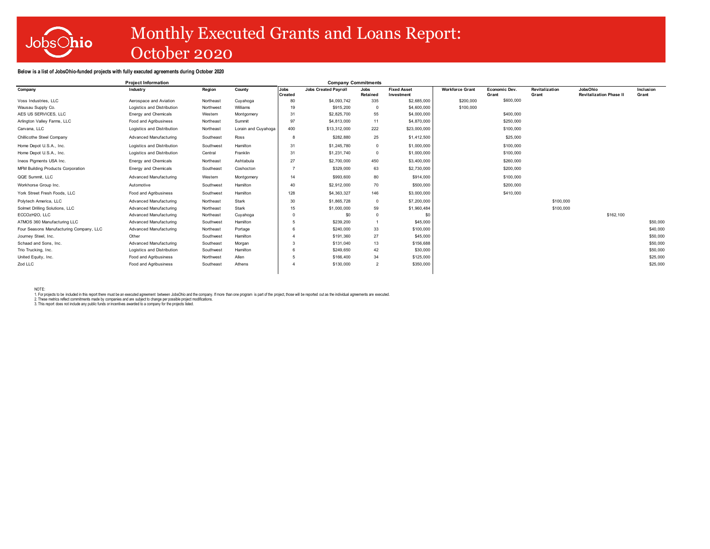

# Monthly Executed Grants and Loans Report: October 2020

#### **Below is a list of JobsOhio-funded projects with fully executed agreements during October 2020**

|                                          | <b>Project Information</b>  |           |                     |                | <b>Company Commitments</b>  |                 |                    |                        |               |                |                                |           |  |
|------------------------------------------|-----------------------------|-----------|---------------------|----------------|-----------------------------|-----------------|--------------------|------------------------|---------------|----------------|--------------------------------|-----------|--|
| Company                                  | Industry                    | Region    | County              | <b>Jobs</b>    | <b>Jobs Created Pavroll</b> | Jobs            | <b>Fixed Asset</b> | <b>Workforce Grant</b> | Economic Dev. | Revitalization | JobsOhio                       | Inclusion |  |
|                                          |                             |           |                     | <b>Created</b> |                             | <b>Retained</b> | Investment         |                        | Grant         | Grant          | <b>Revitalization Phase II</b> | Grant     |  |
| Voss Industries, LLC                     | Aerospace and Aviation      | Northeast | Cuyahoga            | 80             | \$4,093,742                 | 335             | \$2,685,000        | \$200,000              | \$600,000     |                |                                |           |  |
| Wausau Supply Co.                        | Logistics and Distribution  | Northwest | Williams            | 19             | \$915,200                   |                 | \$4,600,000        | \$100,000              |               |                |                                |           |  |
| AES US SERVICES. LLC                     | Energy and Chemicals        | Western   | Montgomery          | 31             | \$2,825,700                 | 55              | \$4,000,000        |                        | \$400,000     |                |                                |           |  |
| Arlington Valley Farms, LLC              | Food and Agribusiness       | Northeast | Summit              | 97             | \$4,813,000                 | 11              | \$4,870,000        |                        | \$250,000     |                |                                |           |  |
| Carvana, LLC                             | Logistics and Distribution  | Northeast | Lorain and Cuyahoga | 400            | \$13,312,000                | 222             | \$23,000,000       |                        | \$100,000     |                |                                |           |  |
| Chillicothe Steel Company                | Advanced Manufacturing      | Southeast | Ross                | 8              | \$282,880                   | 25              | \$1,412,500        |                        | \$25,000      |                |                                |           |  |
| Home Depot U.S.A., Inc.                  | Logistics and Distribution  | Southwest | Hamilton            | 31             | \$1,245,780                 | $\Omega$        | \$1,000,000        |                        | \$100,000     |                |                                |           |  |
| Home Depot U.S.A., Inc.                  | Logistics and Distribution  | Central   | Franklin            | 31             | \$1,231,740                 | $\Omega$        | \$1,000,000        |                        | \$100,000     |                |                                |           |  |
| Ineos Piaments USA Inc.                  | <b>Energy and Chemicals</b> | Northeast | Ashtabula           | 27             | \$2,700,000                 | 450             | \$3,400,000        |                        | \$260,000     |                |                                |           |  |
| <b>MFM Building Products Corporation</b> | Energy and Chemicals        | Southeast | Coshocton           |                | \$329,000                   | 63              | \$2,730,000        |                        | \$200,000     |                |                                |           |  |
| QQE Summit, LLC                          | Advanced Manufacturing      | Western   | Montgomery          | 14             | \$993,600                   | 80              | \$914,000          |                        | \$100,000     |                |                                |           |  |
| Workhorse Group Inc.                     | Automotive                  | Southwest | Hamilton            | 40             | \$2,912,000                 | 70              | \$500,000          |                        | \$200,000     |                |                                |           |  |
| York Street Fresh Foods, LLC             | Food and Agribusiness       | Southwest | Hamilton            | 128            | \$4,363,327                 | 146             | \$3,000,000        |                        | \$410,000     |                |                                |           |  |
| Polytech America, LLC                    | Advanced Manufacturing      | Northeast | Stark               | 30             | \$1,865,728                 | $\Omega$        | \$7,200,000        |                        |               | \$100,000      |                                |           |  |
| Solmet Drilling Solutions, LLC           | Advanced Manufacturing      | Northeast | Stark               | 15             | \$1,000,000                 | 59              | \$1,960,484        |                        |               | \$100,000      |                                |           |  |
| ECCOzH2O, LLC                            | Advanced Manufacturing      | Northeast | Cuyahoga            |                | \$0                         |                 | \$0                |                        |               |                | \$162,100                      |           |  |
| ATMOS 360 Manufacturing LLC              | Advanced Manufacturing      | Southwest | Hamilton            |                | \$239,200                   |                 | \$45,000           |                        |               |                |                                | \$50,000  |  |
| Four Seasons Manufacturing Company, LLC  | Advanced Manufacturing      | Northeast | Portage             |                | \$240,000                   | 33              | \$100,000          |                        |               |                |                                | \$40,000  |  |
| Journey Steel, Inc.                      | Other                       | Southwest | Hamilton            |                | \$191,360                   | 27              | \$45,000           |                        |               |                |                                | \$50,000  |  |
| Schaad and Sons, Inc.                    | Advanced Manufacturing      | Southeast | Morgan              |                | \$131.040                   | 13              | \$156,688          |                        |               |                |                                | \$50,000  |  |
| Trio Trucking, Inc.                      | Logistics and Distribution  | Southwest | Hamilton            |                | \$249,650                   | 42              | \$30,000           |                        |               |                |                                | \$50,000  |  |
| United Equity, Inc.                      | Food and Agribusiness       | Northwest | Allen               |                | \$166,400                   | 34              | \$125,000          |                        |               |                |                                | \$25,000  |  |
| Zod LLC                                  | Food and Agribusiness       | Southeast | Athens              |                | \$130,000                   | $\overline{2}$  | \$350,000          |                        |               |                |                                | \$25,000  |  |
|                                          |                             |           |                     |                |                             |                 |                    |                        |               |                |                                |           |  |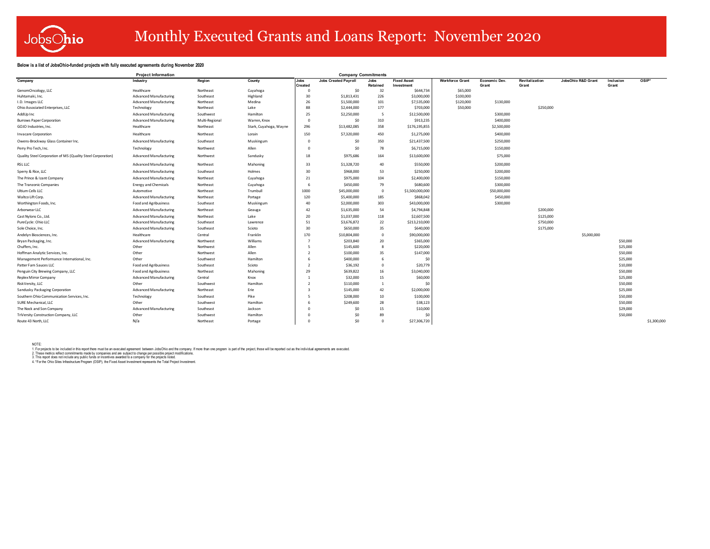

# Monthly Executed Grants and Loans Report: November 2020

### **Below is a list of JobsOhio-funded projects with fully executed agreements during November 2020**

|                                                             | <b>Project Information</b>    |                |                        |                          |                             | <b>Company Commitments</b> |                    |                        |               |                |                    |           |             |  |
|-------------------------------------------------------------|-------------------------------|----------------|------------------------|--------------------------|-----------------------------|----------------------------|--------------------|------------------------|---------------|----------------|--------------------|-----------|-------------|--|
| Company                                                     | Industry                      | Region         | County                 | Jobs                     | <b>Jobs Created Payroll</b> | Jobs                       | <b>Fixed Asset</b> | <b>Workforce Grant</b> | Economic Dev. | Revitalization | JobsOhio R&D Grant | Inclusion | OSIP*       |  |
|                                                             |                               |                |                        | <b>Created</b>           |                             | Retained                   | Investment         |                        | Grant         | Grant          |                    | Grant     |             |  |
| GenomOncology, LLC                                          | Healthcare                    | Northeast      | Cuyahoga               |                          | \$0                         | 32                         | \$644,734          | \$65,000               |               |                |                    |           |             |  |
| Huhtamaki, Inc.                                             | Advanced Manufacturing        | Southeast      | Highland               | 30                       | \$1,813,431                 | 226                        | \$3,000,000        | \$100,000              |               |                |                    |           |             |  |
| I.D. Images LLC                                             | <b>Advanced Manufacturing</b> | Northeast      | Medina                 | 26                       | \$1,500,000                 | 101                        | \$7,535,000        | \$120,000              | \$130,000     |                |                    |           |             |  |
| Ohio Associated Enterprises, LLC                            | Technology                    | Northeast      | Lake                   | 88                       | \$2,444,000                 | 177                        | \$703,000          | \$50,000               |               | \$250,000      |                    |           |             |  |
| AddUp Inc                                                   | <b>Advanced Manufacturing</b> | Southwest      | Hamilton               | 25                       | \$2,250,000                 | -5                         | \$12,500,000       |                        | \$300,000     |                |                    |           |             |  |
| <b>Burrows Paper Corporation</b>                            | <b>Advanced Manufacturing</b> | Multi-Regional | Warren, Knox           | $\mathbf{0}$             | \$0                         | 310                        | \$913,235          |                        | \$400,000     |                |                    |           |             |  |
| GOJO Industries. Inc.                                       | Healthcare                    | Northeast      | Stark, Cuyahoga, Wayne | 296                      | \$13,482,085                | 358                        | \$176,195,855      |                        | \$2,500,000   |                |                    |           |             |  |
| <b>Invacare Corporation</b>                                 | Healthcare                    | Northeast      | Lorain                 | 150                      | \$7,320,000                 | 450                        | \$1,275,000        |                        | \$400,000     |                |                    |           |             |  |
| Owens-Brockway Glass Container Inc.                         | <b>Advanced Manufacturing</b> | Southeast      | Muskingum              | $^{\circ}$               | \$0                         | 350                        | \$21,437,500       |                        | \$250,000     |                |                    |           |             |  |
| Perry Pro Tech, Inc.                                        | Technology                    | Northwest      | Allen                  | $\Omega$                 | \$0                         | 78                         | \$6,715,000        |                        | \$150,000     |                |                    |           |             |  |
| Quality Steel Corporation of MS (Quality Steel Corporation) | <b>Advanced Manufacturing</b> | Northwest      | Sandusky               | 18                       | \$975,686                   | 164                        | \$13,600,000       |                        | \$75,000      |                |                    |           |             |  |
| RSL LLC                                                     | <b>Advanced Manufacturing</b> | Northeast      | Mahoning               | 33                       | \$1,328,720                 | 40                         | \$550,000          |                        | \$200,000     |                |                    |           |             |  |
| Sperry & Rice, LLC                                          | <b>Advanced Manufacturing</b> | Southeast      | Holmes                 | 30                       | \$968,000                   | 53                         | \$250,000          |                        | \$200,000     |                |                    |           |             |  |
| The Prince & Izant Company                                  | Advanced Manufacturing        | Northeast      | Cuyahoga               | 21                       | \$975,000                   | 104                        | \$2,400,000        |                        | \$150,000     |                |                    |           |             |  |
| The Tranzonic Companies                                     | <b>Energy and Chemicals</b>   | Northeast      | Cuyahoga               | 6                        | \$450,000                   | 79                         | \$680,600          |                        | \$300,000     |                |                    |           |             |  |
| Ultium Cells LLC                                            | Automotive                    | Northeast      | Trumbull               | 1000                     | \$45,000,000                | $\Omega$                   | \$1,500,000,000    |                        | \$50,000,000  |                |                    |           |             |  |
| Waltco Lift Corp.                                           | <b>Advanced Manufacturing</b> | Northeast      | Portage                | 120                      | \$5,400,000                 | 185                        | \$868,042          |                        | \$450,000     |                |                    |           |             |  |
| Worthington Foods, Inc.                                     | Food and Agribusiness         | Southeast      | Muskingum              | 40                       | \$2,000,000                 | 303                        | \$43,000,000       |                        | \$300,000     |                |                    |           |             |  |
| Arborwear LLC                                               | Advanced Manufacturing        | Northeast      | Geauga                 | 42                       | \$1,635,000                 | 54                         | \$4,794,848        |                        |               | \$200,000      |                    |           |             |  |
| Cast Nylons Co. . Ltd.                                      | Advanced Manufacturing        | Northeast      | Lake                   | 20                       | \$1,037,000                 | 118                        | \$2,607,500        |                        |               | \$125,000      |                    |           |             |  |
| PureCycle: Ohio LLC                                         | <b>Advanced Manufacturing</b> | Southeast      | Lawrence               | 51                       | \$3,676,872                 | 22                         | \$213,210,000      |                        |               | \$750,000      |                    |           |             |  |
| Sole Choice. Inc.                                           | <b>Advanced Manufacturing</b> | Southeast      | Scioto                 | 30                       | \$650,000                   | 35                         | \$640,000          |                        |               | \$175,000      |                    |           |             |  |
| Andelyn Biosciences, Inc.                                   | Healthcare                    | Central        | Franklin               | 170                      | \$10,804,000                | $\Omega$                   | \$90,000,000       |                        |               |                | \$5,000,000        |           |             |  |
| Bryan Packaging, Inc.                                       | <b>Advanced Manufacturing</b> | Northwest      | Williams               |                          | \$203,840                   | 20                         | \$365,000          |                        |               |                |                    | \$50,000  |             |  |
| Chuffers, Inc.                                              | Other                         | Northwest      | Allen                  | 5                        | \$145,600                   | $\mathbf{R}$               | \$220,000          |                        |               |                |                    | \$25,000  |             |  |
| Hoffman Analytic Services, Inc.                             | Other                         | Northwest      | Allen                  | $\overline{\phantom{a}}$ | \$100,000                   | 35                         | \$147,000          |                        |               |                |                    | \$50,000  |             |  |
| Management Performance International, Inc.                  | Other                         | Southwest      | Hamilton               | 6                        | \$400,000                   | -6                         | -SC                |                        |               |                |                    | \$25,000  |             |  |
| Patter Fam Sauces LLC                                       | Food and Agribusiness         | Southeast      | Scioto                 | $\overline{2}$           | \$36,192                    | $\Omega$                   | \$20,779           |                        |               |                |                    | \$10,000  |             |  |
| Penguin City Brewing Company, LLC                           | Food and Agribusiness         | Northeast      | Mahoning               | 29                       | \$639,822                   | 16                         | \$3,040,000        |                        |               |                |                    | \$50,000  |             |  |
| Replex Mirror Company                                       | <b>Advanced Manufacturing</b> | Central        | Knox                   |                          | \$32,000                    | 15                         | \$60,000           |                        |               |                |                    | \$25,000  |             |  |
| RiskVersitv, LLC                                            | Other                         | Southwest      | Hamilton               | $\overline{2}$           | \$110,000                   |                            | \$C                |                        |               |                |                    | \$50,000  |             |  |
| Sandusky Packaging Corporation                              | <b>Advanced Manufacturing</b> | Northeast      | Erie                   | -3                       | \$145,000                   | 42                         | \$2,000,000        |                        |               |                |                    | \$25,000  |             |  |
| Southern Ohio Communication Services, Inc.                  | Technology                    | Southeast      | Pike                   | -5                       | \$208,000                   | 10                         | \$100,000          |                        |               |                |                    | \$50,000  |             |  |
| SURE Mechanical, LLC                                        | Other                         | Southwest      | Hamilton               |                          | \$249,600                   | 28                         | \$38,123           |                        |               |                |                    | \$50,000  |             |  |
| The Nock and Son Company                                    | <b>Advanced Manufacturing</b> | Southeast      | Jackson                |                          | \$0                         | 15                         | \$10,000           |                        |               |                |                    | \$29,000  |             |  |
| TriVersity Construction Company, LLC                        | Other                         | Southwest      | Hamilton               |                          | \$0                         | 89                         | \$C                |                        |               |                |                    | \$50,000  |             |  |
| Route 43 North, LLC                                         | N/a                           | Northeast      | Portage                | $\Omega$                 | SO                          | $\Omega$                   | \$27,306,720       |                        |               |                |                    |           | \$1,300,000 |  |

NOTE:<br>1. For projects to be included in this moont the and the above that are the movement of the project of the project of the project, those will be reported out as the individual agreements are executed.<br>2. These metric